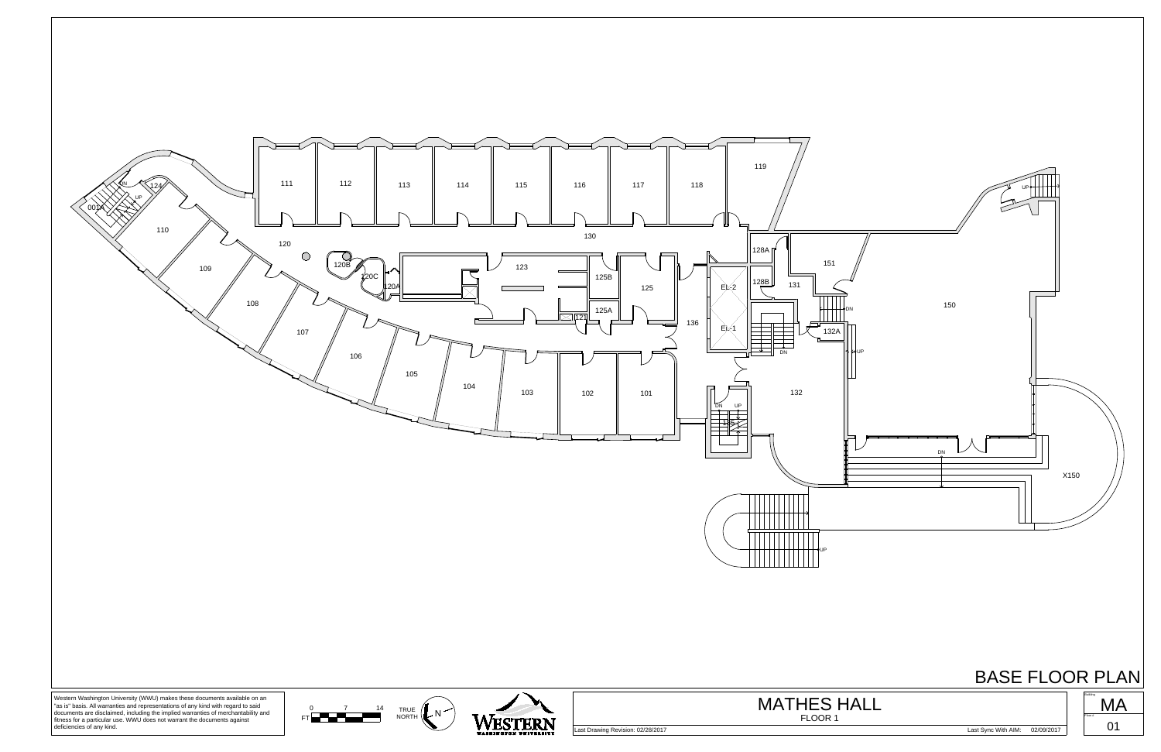

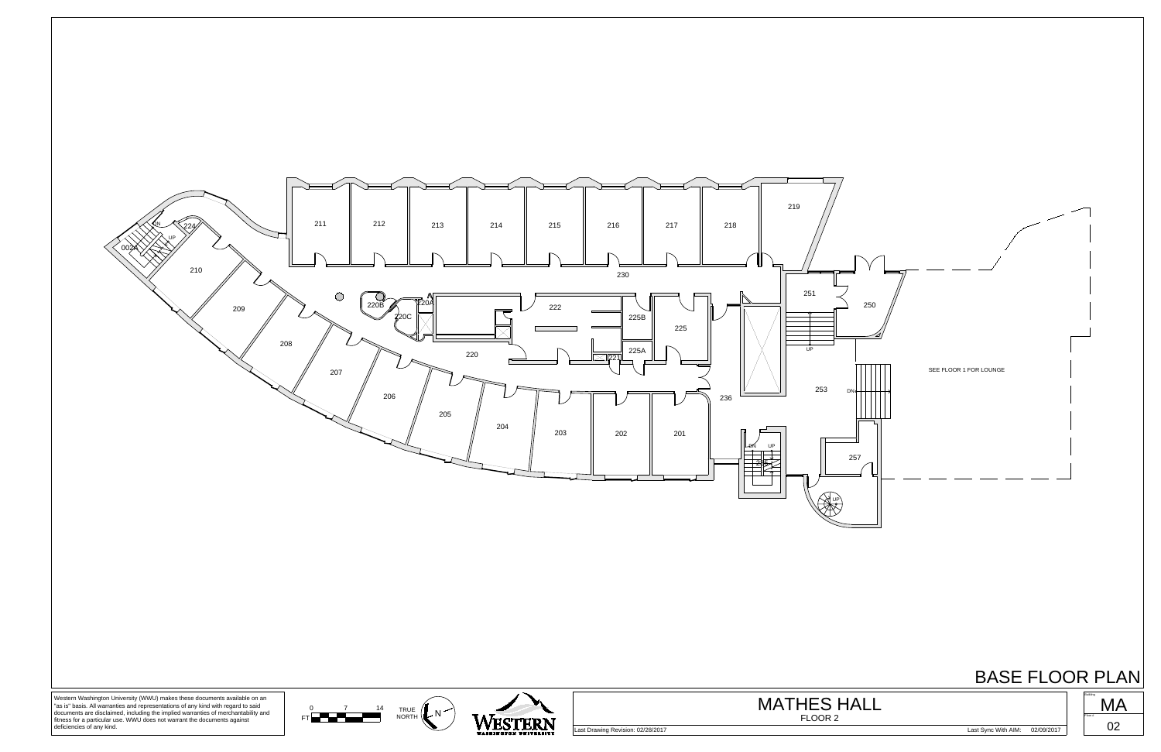

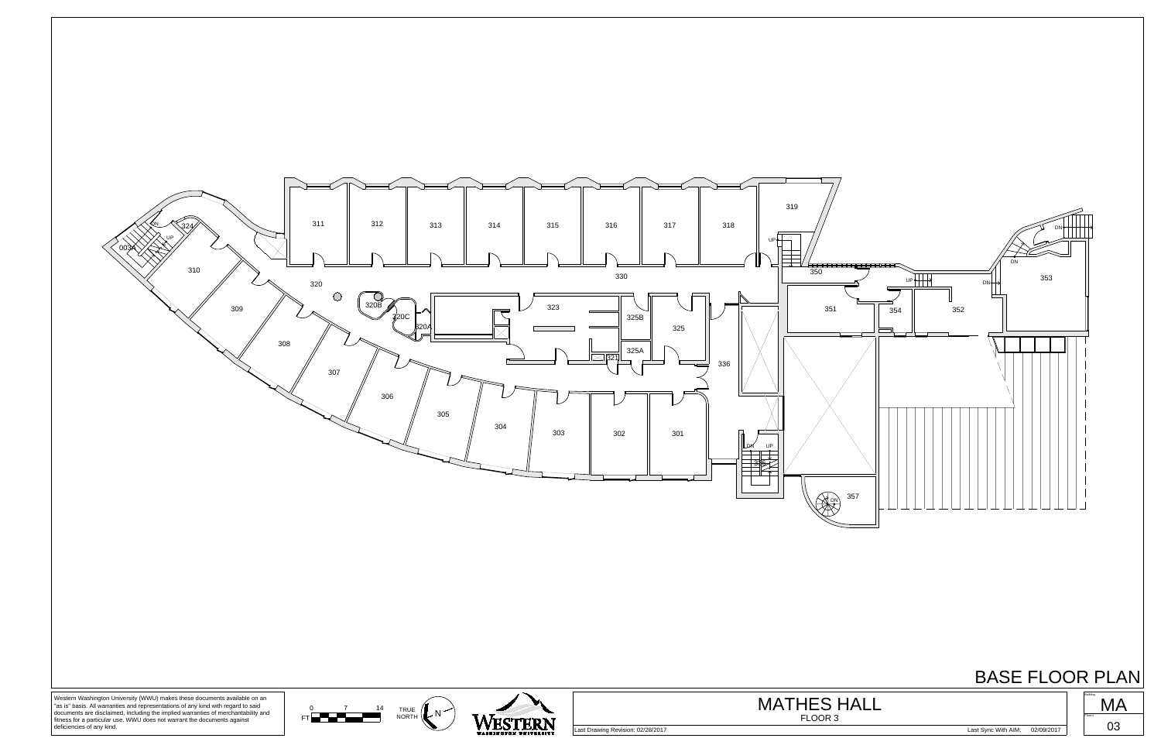



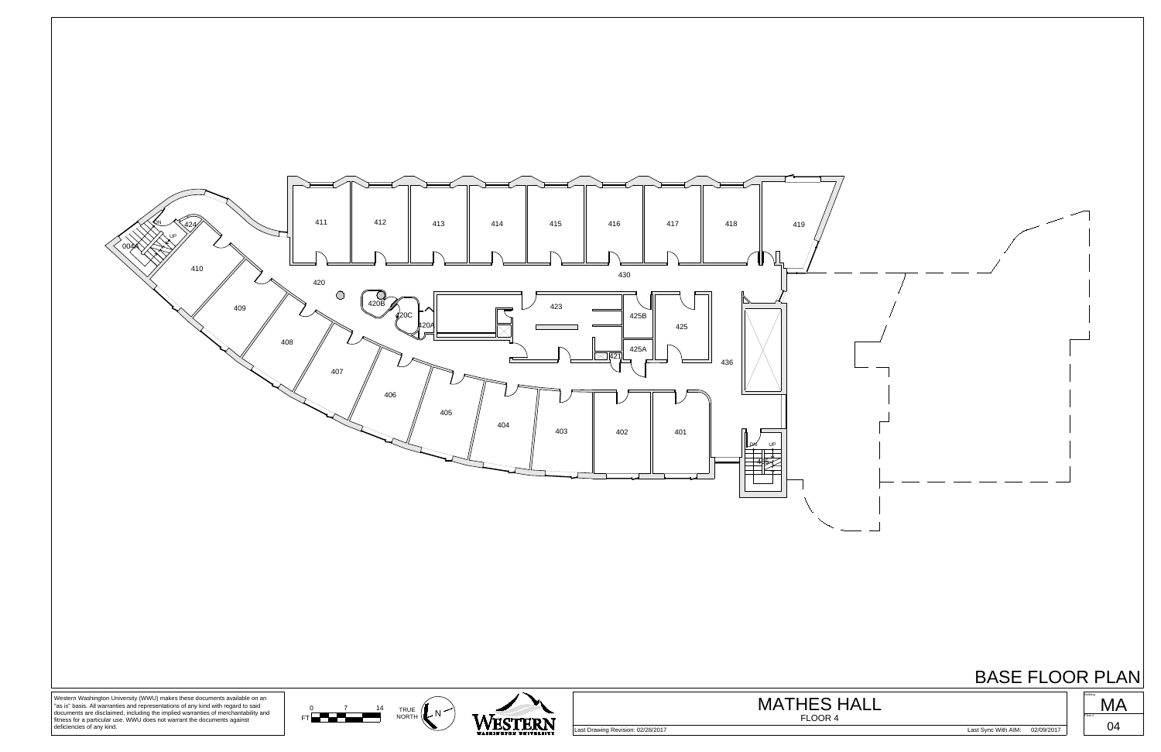





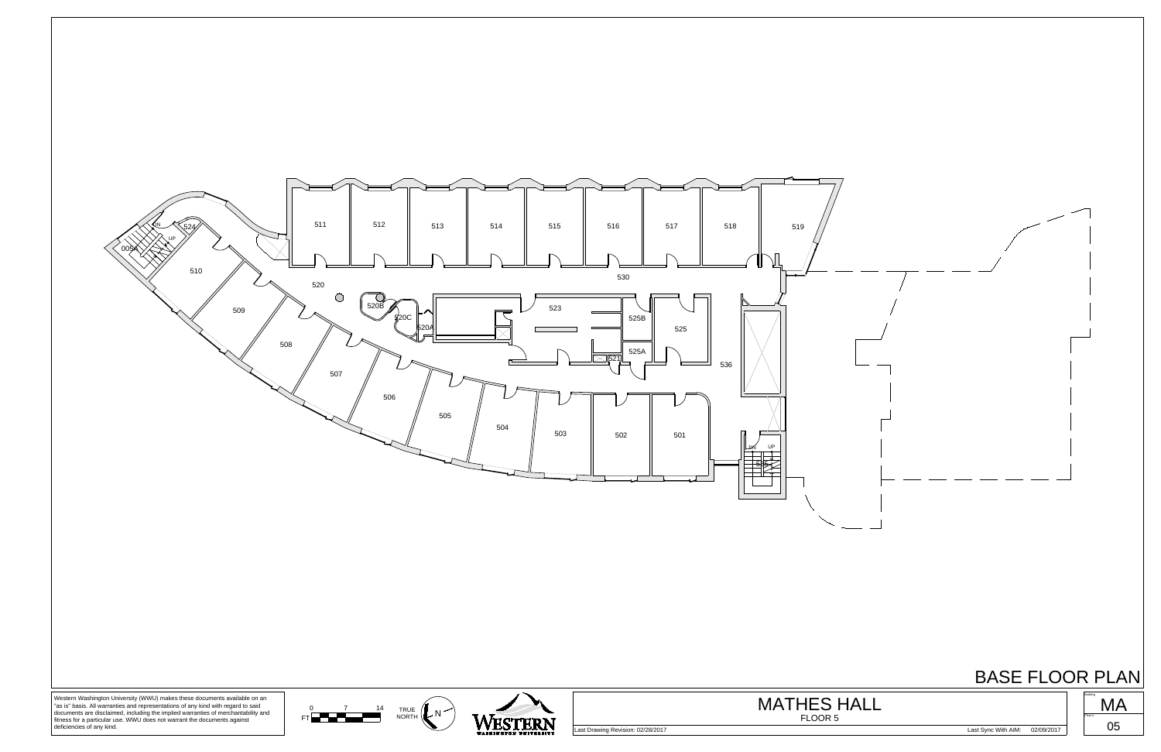





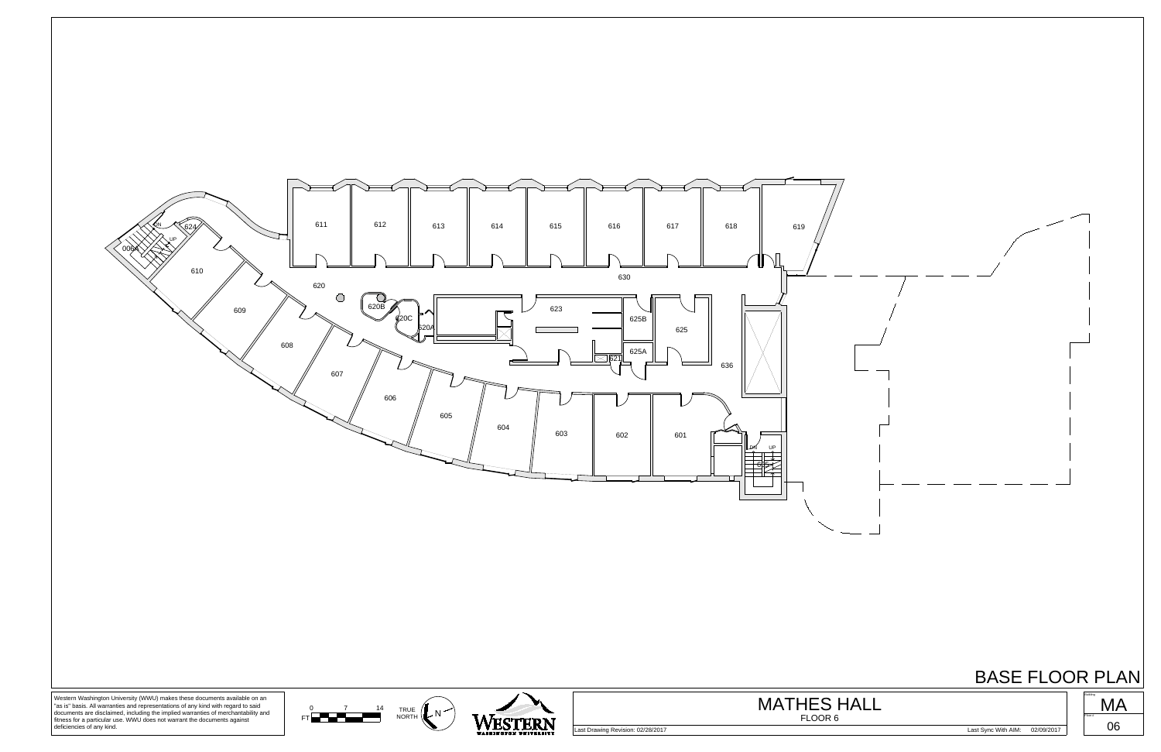

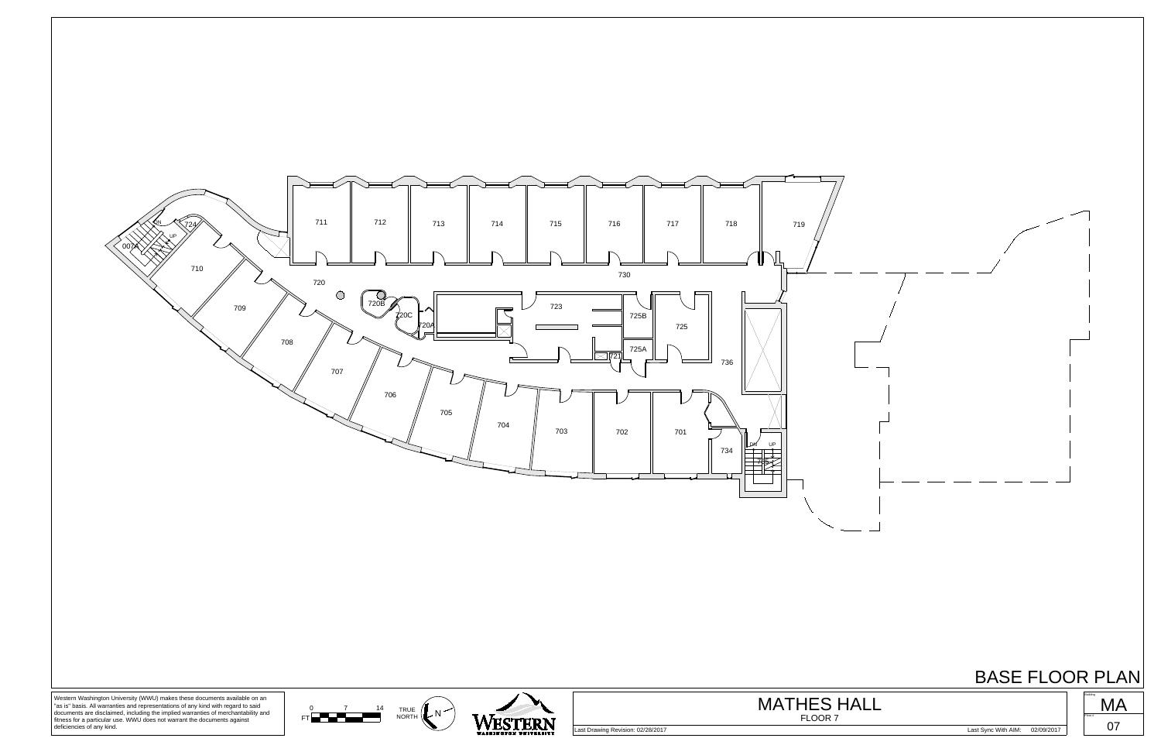





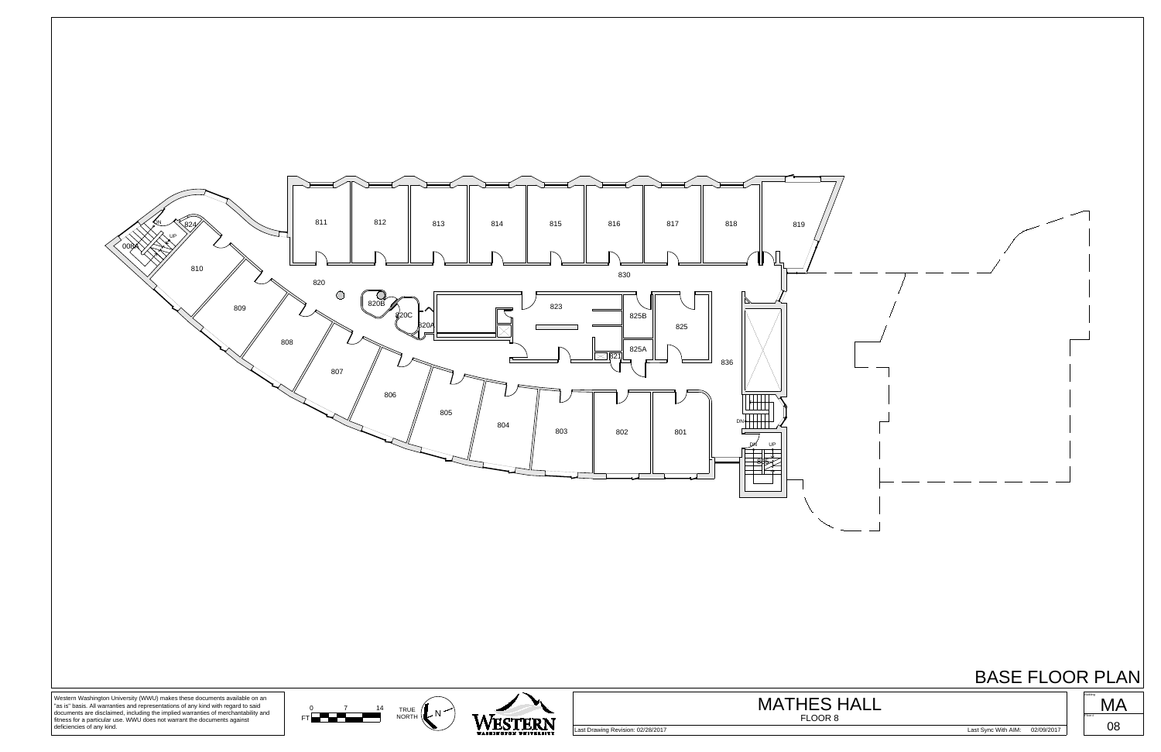

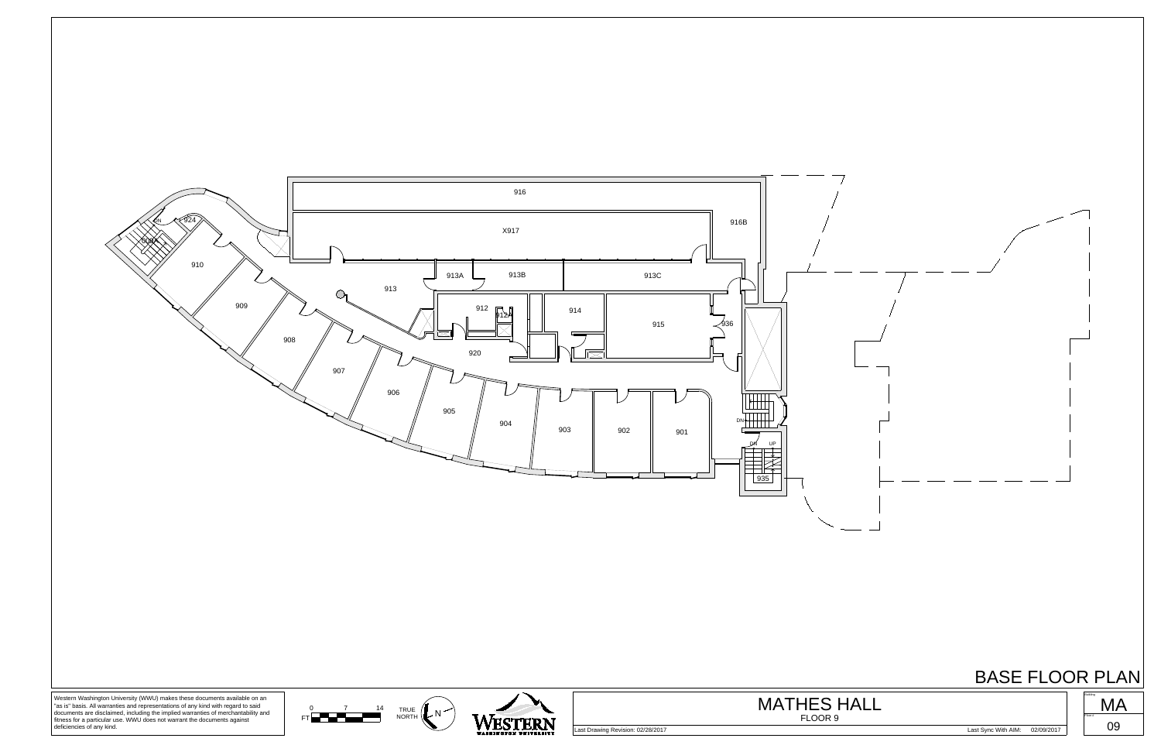



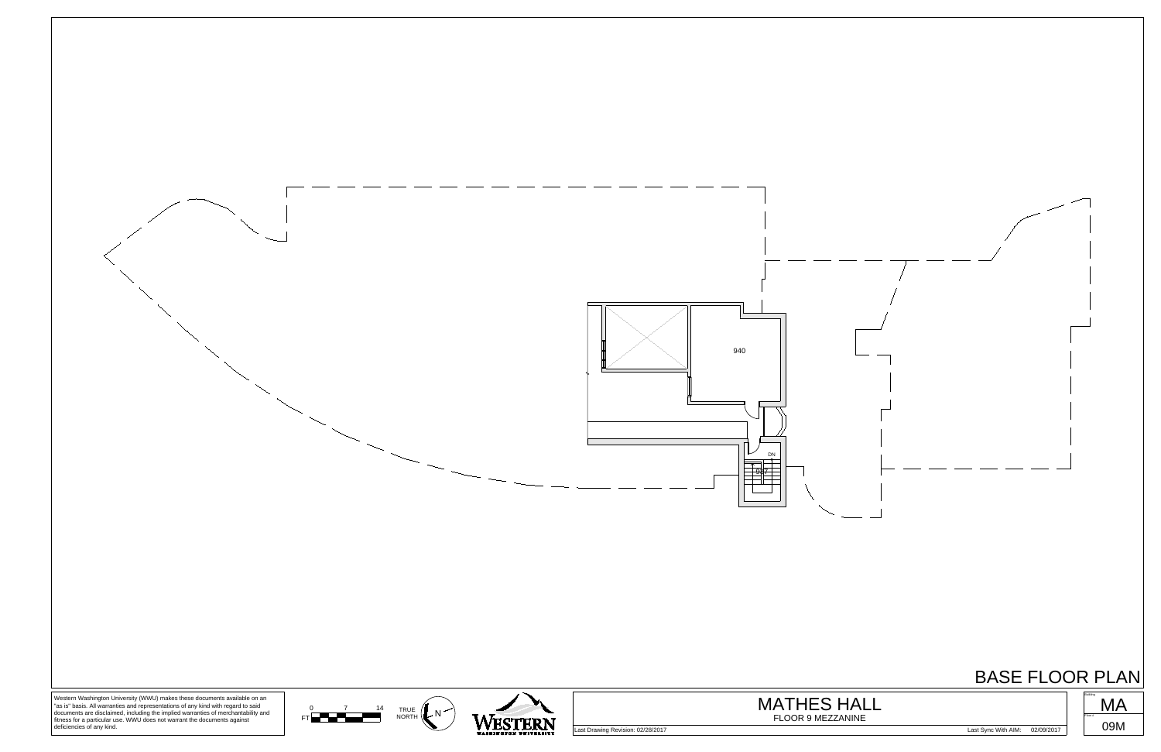